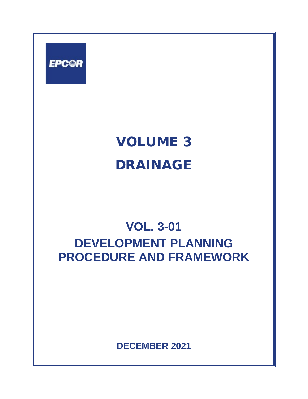

# VOLUME 3 DRAINAGE

## **VOL. 3-01 DEVELOPMENT PLANNING PROCEDURE AND FRAMEWORK**

**DECEMBER 2021**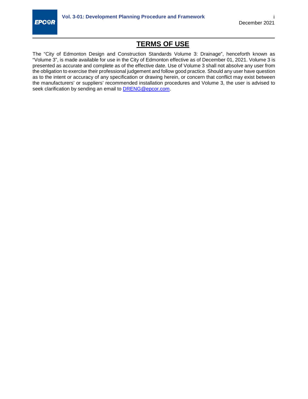

## **TERMS OF USE**

The "City of Edmonton Design and Construction Standards Volume 3: Drainage", henceforth known as "Volume 3", is made available for use in the City of Edmonton effective as of December 01, 2021. Volume 3 is presented as accurate and complete as of the effective date. Use of Volume 3 shall not absolve any user from the obligation to exercise their professional judgement and follow good practice. Should any user have question as to the intent or accuracy of any specification or drawing herein, or concern that conflict may exist between the manufacturers' or suppliers' recommended installation procedures and Volume 3, the user is advised to seek clarification by sending an email to **DRENG@epcor.com**.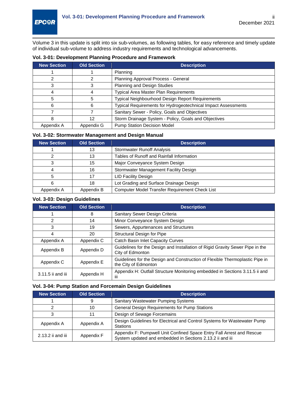Volume 3 in this update is split into six sub-volumes, as following tables, for easy reference and timely update of individual sub-volume to address industry requirements and technological advancements.

| <b>New Section</b> | <b>Old Section</b> | <b>Description</b>                                            |
|--------------------|--------------------|---------------------------------------------------------------|
|                    |                    | Planning                                                      |
|                    |                    | Planning Approval Process - General                           |
| 3                  | 3                  | Planning and Design Studies                                   |
|                    |                    | Typical Area Master Plan Requirements                         |
| 5                  | 5                  | Typical Neighbourhood Design Report Requirements              |
| 6                  | 6                  | Typical Requirements for Hydrogeotechnical Impact Assessments |
|                    |                    | Sanitary Sewer - Policy, Goals and Objectives                 |
| 8                  | 12                 | Storm Drainage System - Policy, Goals and Objectives          |
| Appendix A         | Appendix G         | <b>Pump Station Decision Model</b>                            |

#### **Vol. 3-01: Development Planning Procedure and Framework**

#### **Vol. 3-02: Stormwater Management and Design Manual**

| <b>New Section</b> | <b>Old Section</b> | <b>Description</b>                                    |
|--------------------|--------------------|-------------------------------------------------------|
|                    | 13                 | <b>Stormwater Runoff Analysis</b>                     |
|                    | 13                 | Tables of Runoff and Rainfall Information             |
|                    | 15                 | Major Conveyance System Design                        |
|                    | 16                 | Stormwater Management Facility Design                 |
|                    | 17                 | <b>LID Facility Design</b>                            |
| 6                  | 18                 | Lot Grading and Surface Drainage Design               |
| Appendix A         | Appendix B         | <b>Computer Model Transfer Requirement Check List</b> |

#### **Vol. 3-03: Design Guidelines**

| <b>New Section</b> | <b>Old Section</b> | <b>Description</b>                                                                                   |
|--------------------|--------------------|------------------------------------------------------------------------------------------------------|
|                    | 8                  | Sanitary Sewer Design Criteria                                                                       |
| 2                  | 14                 | Minor Conveyance System Design                                                                       |
| 3                  | 19                 | Sewers, Appurtenances and Structures                                                                 |
| 4                  | 20                 | Structural Design for Pipe                                                                           |
| Appendix A         | Appendix C         | Catch Basin Inlet Capacity Curves                                                                    |
| Appendix B         | Appendix D         | Guidelines for the Design and Installation of Rigid Gravity Sewer Pipe in the<br>City of Edmonton    |
| Appendix C         | Appendix E         | Guidelines for the Design and Construction of Flexible Thermoplastic Pipe in<br>the City of Edmonton |
| 3.11.5 ii and iii  | Appendix H         | Appendix H: Outfall Structure Monitoring embedded in Sections 3.11.5 ii and<br>Ш                     |

#### **Vol. 3-04: Pump Station and Forcemain Design Guidelines**

| <b>New Section</b> | <b>Old Section</b> | <b>Description</b>                                                                                                                 |
|--------------------|--------------------|------------------------------------------------------------------------------------------------------------------------------------|
|                    | 9                  | Sanitary Wastewater Pumping Systems                                                                                                |
|                    | 10                 | General Design Requirements for Pump Stations                                                                                      |
| 3                  | 11                 | Design of Sewage Forcemains                                                                                                        |
| Appendix A         | Appendix A         | Design Guidelines for Electrical and Control Systems for Wastewater Pump<br><b>Stations</b>                                        |
| 2.13.2 ii and iii  | Appendix F         | Appendix F: Pumpwell Unit Confined Space Entry Fall Arrest and Rescue<br>System updated and embedded in Sections 2.13.2 ii and iii |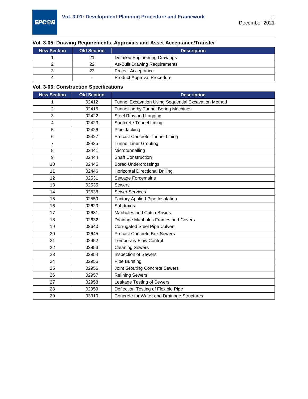## **Vol. 3-05: Drawing Requirements, Approvals and Asset Acceptance/Transfer**

| <b>New Section</b> | <b>Old Section</b> | <b>Description</b>                |
|--------------------|--------------------|-----------------------------------|
|                    | 21                 | Detailed Engineering Drawings     |
|                    | 22                 | As-Built Drawing Requirements     |
|                    | 23                 | <b>Project Acceptance</b>         |
|                    | -                  | <b>Product Approval Procedure</b> |

### **Vol. 3-06: Construction Specifications**

| <b>New Section</b> | <b>Old Section</b> | <b>Description</b>                                   |
|--------------------|--------------------|------------------------------------------------------|
| 1                  | 02412              | Tunnel Excavation Using Sequential Excavation Method |
| 2                  | 02415              | Tunnelling by Tunnel Boring Machines                 |
| 3                  | 02422              | Steel Ribs and Lagging                               |
| 4                  | 02423              | Shotcrete Tunnel Lining                              |
| 5                  | 02426              | Pipe Jacking                                         |
| 6                  | 02427              | Precast Concrete Tunnel Lining                       |
| $\overline{7}$     | 02435              | <b>Tunnel Liner Grouting</b>                         |
| 8                  | 02441              | Microtunnelling                                      |
| 9                  | 02444              | <b>Shaft Construction</b>                            |
| 10                 | 02445              | <b>Bored Undercrossings</b>                          |
| 11                 | 02446              | <b>Horizontal Directional Drilling</b>               |
| 12                 | 02531              | Sewage Forcemains                                    |
| 13                 | 02535              | <b>Sewers</b>                                        |
| 14                 | 02538              | <b>Sewer Services</b>                                |
| 15                 | 02559              | Factory Applied Pipe Insulation                      |
| 16                 | 02620              | Subdrains                                            |
| 17                 | 02631              | <b>Manholes and Catch Basins</b>                     |
| 18                 | 02632              | Drainage Manholes Frames and Covers                  |
| 19                 | 02640              | <b>Corrugated Steel Pipe Culvert</b>                 |
| 20                 | 02645              | <b>Precast Concrete Box Sewers</b>                   |
| 21                 | 02952              | <b>Temporary Flow Control</b>                        |
| 22                 | 02953              | <b>Cleaning Sewers</b>                               |
| 23                 | 02954              | Inspection of Sewers                                 |
| 24                 | 02955              | <b>Pipe Bursting</b>                                 |
| 25                 | 02956              | Joint Grouting Concrete Sewers                       |
| 26                 | 02957              | <b>Relining Sewers</b>                               |
| 27                 | 02958              | Leakage Testing of Sewers                            |
| 28                 | 02959              | Deflection Testing of Flexible Pipe                  |
| 29                 | 03310              | Concrete for Water and Drainage Structures           |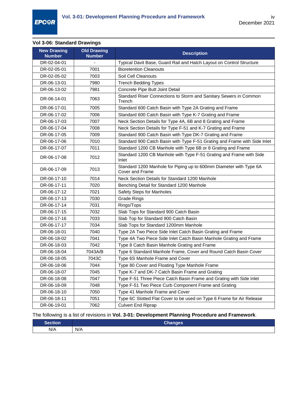## **Vol 3-06: Standard Drawings**

| <b>New Drawing</b><br><b>Number</b> | <b>Old Drawing</b><br><b>Number</b> | <b>Description</b>                                                                    |
|-------------------------------------|-------------------------------------|---------------------------------------------------------------------------------------|
| DR-02-04-01                         | $\qquad \qquad \blacksquare$        | Typical Davit Base, Guard Rail and Hatch Layout on Control Structure                  |
| DR-02-05-01                         | 7001                                | <b>Bioretention Cleanouts</b>                                                         |
| DR-02-05-02                         | 7003                                | Soil Cell Cleanouts                                                                   |
| DR-06-13-01                         | 7980                                | <b>Trench Bedding Types</b>                                                           |
| DR-06-13-02                         | 7981                                | Concrete Pipe Butt Joint Detail                                                       |
| DR-06-14-01                         | 7063                                | Standard Riser Connections to Storm and Sanitary Sewers in Common<br>Trench           |
| DR-06-17-01                         | 7005                                | Standard 600 Catch Basin with Type 2A Grating and Frame                               |
| DR-06-17-02                         | 7006                                | Standard 600 Catch Basin with Type K-7 Grating and Frame                              |
| DR-06-17-03                         | 7007                                | Neck Section Details for Type 4A, 6B and 8 Grating and Frame                          |
| DR-06-17-04                         | 7008                                | Neck Section Details for Type F-51 and K-7 Grating and Frame                          |
| DR-06-17-05                         | 7009                                | Standard 900 Catch Basin with Type DK-7 Grating and Frame                             |
| DR-06-17-06                         | 7010                                | Standard 900 Catch Basin with Type F-51 Grating and Frame with Side Inlet             |
| DR-06-17-07                         | 7011                                | Standard 1200 CB Manhole with Type 6B or 8 Grating and Frame                          |
| DR-06-17-08                         | 7012                                | Standard 1200 CB Manhole with Type F-51 Grating and Frame with Side<br>Inlet          |
| DR-06-17-09                         | 7013                                | Standard 1200 Manhole for Piping up to 600mm Diameter with Type 6A<br>Cover and Frame |
| DR-06-17-10                         | 7014                                | Neck Section Details for Standard 1200 Manhole                                        |
| DR-06-17-11                         | 7020                                | Benching Detail for Standard 1200 Manhole                                             |
| DR-06-17-12                         | 7021                                | Safety Steps for Manholes                                                             |
| DR-06-17-13                         | 7030                                | Grade Rings                                                                           |
| DR-06-17-14                         | 7031                                | Rings/Tops                                                                            |
| DR-06-17-15                         | 7032                                | Slab Tops for Standard 900 Catch Basin                                                |
| DR-06-17-16                         | 7033                                | Slab Top for Standard 900 Catch Basin                                                 |
| DR-06-17-17                         | 7034                                | Slab Tops for Standard 1200mm Manhole                                                 |
| DR-06-18-01                         | 7040                                | Type 2A Two Piece Side Inlet Catch Basin Grating and Frame                            |
| DR-06-18-02                         | 7041                                | Type 4A Two Piece Side Inlet Catch Basin Manhole Grating and Frame                    |
| DR-06-18-03                         | 7042                                | Type 8 Catch Basin Manhole Grating and Frame                                          |
| DR-06-18-04                         | 7043A/B                             | Type 6 Standard Manhole Frame, Cover and Round Catch Basin Cover                      |
| DR-06-18-05                         | 7043C                               | Type 6S Manhole Frame and Cover                                                       |
| DR-06-18-06                         | 7044                                | Type 80 Cover and Floating Type Manhole Frame                                         |
| DR-06-18-07                         | 7045                                | Type K-7 and DK-7 Catch Basin Frame and Grating                                       |
| DR-06-18-08                         | 7047                                | Type F-51 Three Piece Catch Basin Frame and Grating with Side Inlet                   |
| DR-06-18-09                         | 7048                                | Type F-51 Two Piece Curb Component Frame and Grating                                  |
| DR-06-18-10                         | 7050                                | Type 41 Manhole Frame and Cover                                                       |
| DR-06-18-11                         | 7051                                | Type 6C Slotted Flat Cover to be used on Type 6 Frame for Air Release                 |
| DR-06-19-01                         | 7062                                | <b>Culvert End Riprap</b>                                                             |

## The following is a list of revisions in **Vol. 3-01: Development Planning Procedure and Framework**.

| Section | --<br>hannes<br>Unanges |
|---------|-------------------------|
| N/A     | N/A                     |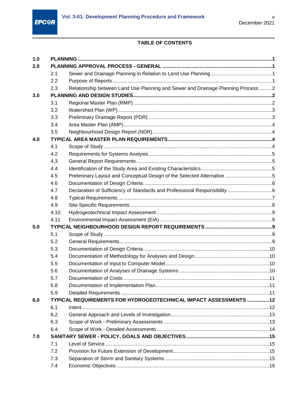

## TABLE OF CONTENTS

| 1.0 |      |                                                                                  |  |  |
|-----|------|----------------------------------------------------------------------------------|--|--|
| 2.0 |      |                                                                                  |  |  |
|     | 2.1  |                                                                                  |  |  |
|     | 2.2  |                                                                                  |  |  |
|     | 2.3  | Relationship between Land Use Planning and Sewer and Drainage Planning Process 2 |  |  |
| 3.0 |      |                                                                                  |  |  |
|     | 3.1  |                                                                                  |  |  |
|     | 3.2  |                                                                                  |  |  |
|     | 3.3  |                                                                                  |  |  |
|     | 3.4  |                                                                                  |  |  |
|     | 3.5  |                                                                                  |  |  |
| 4.0 |      |                                                                                  |  |  |
|     | 4.1  |                                                                                  |  |  |
|     | 4.2  |                                                                                  |  |  |
|     | 4.3  |                                                                                  |  |  |
|     | 4.4  |                                                                                  |  |  |
|     | 4.5  | Preliminary Layout and Conceptual Design of the Selected Alternative 5           |  |  |
|     | 4.6  |                                                                                  |  |  |
|     | 4.7  |                                                                                  |  |  |
|     | 4.8  |                                                                                  |  |  |
|     | 4.9  |                                                                                  |  |  |
|     | 4.10 |                                                                                  |  |  |
|     | 4.11 |                                                                                  |  |  |
| 5.0 |      |                                                                                  |  |  |
|     | 5.1  |                                                                                  |  |  |
|     | 5.2  |                                                                                  |  |  |
|     | 5.3  |                                                                                  |  |  |
|     | 5.4  |                                                                                  |  |  |
|     | 5.5  |                                                                                  |  |  |
|     | 5.6  |                                                                                  |  |  |
|     | 5.7  |                                                                                  |  |  |
|     | 5.8  |                                                                                  |  |  |
|     | 5.9  |                                                                                  |  |  |
| 6.0 |      | TYPICAL REQUIREMENTS FOR HYDROGEOTECHNICAL IMPACT ASSESSMENTS 12                 |  |  |
|     | 6.1  |                                                                                  |  |  |
|     | 6.2  |                                                                                  |  |  |
|     | 6.3  |                                                                                  |  |  |
|     | 6.4  |                                                                                  |  |  |
| 7.0 |      |                                                                                  |  |  |
|     | 7.1  |                                                                                  |  |  |
|     | 7.2  |                                                                                  |  |  |
|     | 7.3  |                                                                                  |  |  |
|     | 7.4  |                                                                                  |  |  |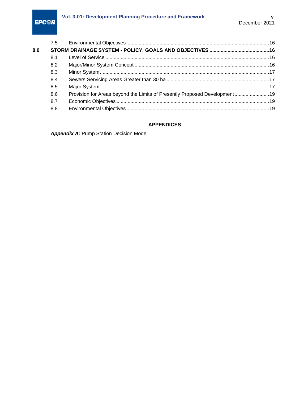|     | 7.5 |                                                                           |  |
|-----|-----|---------------------------------------------------------------------------|--|
| 8.0 |     |                                                                           |  |
|     | 8.1 |                                                                           |  |
|     | 8.2 |                                                                           |  |
|     | 8.3 |                                                                           |  |
|     | 8.4 |                                                                           |  |
|     | 8.5 |                                                                           |  |
|     | 8.6 | Provision for Areas beyond the Limits of Presently Proposed Development19 |  |
|     | 8.7 |                                                                           |  |
|     | 8.8 |                                                                           |  |
|     |     |                                                                           |  |

#### **APPENDICES**

*Appendix A:* [Pump Station Decision Model](#page-26-0)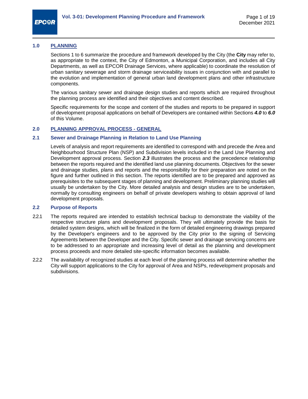

#### <span id="page-7-0"></span>**1.0 PLANNING**

Sections 1 to 6 summarize the procedure and framework developed by the City (the **City** may refer to, as appropriate to the context, the City of Edmonton, a Municipal Corporation, and includes all City Departments, as well as EPCOR Drainage Services, where applicable) to coordinate the resolution of urban sanitary sewerage and storm drainage serviceability issues in conjunction with and parallel to the evolution and implementation of general urban land development plans and other infrastructure components.

The various sanitary sewer and drainage design studies and reports which are required throughout the planning process are identified and their objectives and content described.

Specific requirements for the scope and content of the studies and reports to be prepared in support of development proposal applications on behalf of Developers are contained within Sections *[4.0](#page-10-2)* to *[6.0](#page-18-0)* of this Volume.

#### <span id="page-7-1"></span>**2.0 PLANNING APPROVAL PROCESS - GENERAL**

#### <span id="page-7-2"></span>**2.1 Sewer and Drainage Planning in Relation to Land Use Planning**

Levels of analysis and report requirements are identified to correspond with and precede the Area and Neighbourhood Structure Plan (NSP) and Subdivision levels included in the Land Use Planning and Development approval process. Section *[2.3](#page-8-0)* illustrates the process and the precedence relationship between the reports required and the identified land use planning documents. Objectives for the sewer and drainage studies, plans and reports and the responsibility for their preparation are noted on the figure and further outlined in this section. The reports identified are to be prepared and approved as prerequisites to the subsequent stages of planning and development. Preliminary planning studies will usually be undertaken by the City. More detailed analysis and design studies are to be undertaken, normally by consulting engineers on behalf of private developers wishing to obtain approval of land development proposals.

#### <span id="page-7-3"></span>**2.2 Purpose of Reports**

- 2.2.1 The reports required are intended to establish technical backup to demonstrate the viability of the respective structure plans and development proposals. They will ultimately provide the basis for detailed system designs, which will be finalized in the form of detailed engineering drawings prepared by the Developer's engineers and to be approved by the City prior to the signing of Servicing Agreements between the Developer and the City. Specific sewer and drainage servicing concerns are to be addressed to an appropriate and increasing level of detail as the planning and development process proceeds and more detailed site-specific information becomes available.
- 2.2.2 The availability of recognized studies at each level of the planning process will determine whether the City will support applications to the City for approval of Area and NSPs, redevelopment proposals and subdivisions.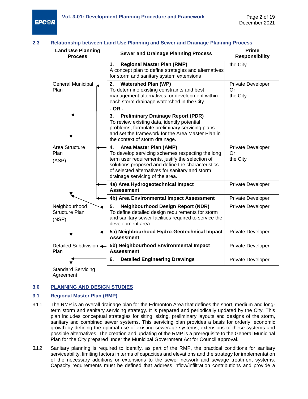

<span id="page-8-0"></span>

| 2.3                                        | <b>Relationship between Land Use Planning and Sewer and Drainage Planning Process</b>                                                                                                                                                                                           |                                            |
|--------------------------------------------|---------------------------------------------------------------------------------------------------------------------------------------------------------------------------------------------------------------------------------------------------------------------------------|--------------------------------------------|
| <b>Land Use Planning</b><br><b>Process</b> | <b>Sewer and Drainage Planning Process</b>                                                                                                                                                                                                                                      | <b>Prime</b><br><b>Responsibility</b>      |
|                                            | <b>Regional Master Plan (RMP)</b><br>1.<br>A concept plan to define strategies and alternatives<br>for storm and sanitary system extensions                                                                                                                                     | the City                                   |
| General Municipal<br>Plan                  | <b>Watershed Plan (WP)</b><br>2.<br>To determine existing constraints and best<br>management alternatives for development within<br>each storm drainage watershed in the City.<br>$- OR -$                                                                                      | <b>Private Developer</b><br>Or<br>the City |
|                                            | <b>Preliminary Drainage Report (PDR)</b><br>3.<br>To review existing data, identify potential<br>problems, formulate preliminary servicing plans<br>and set the framework for the Area Master Plan in<br>the context of storm drainage.                                         |                                            |
| Area Structure<br>Plan<br>(ASP)            | 4.<br>Area Master Plan (AMP)<br>To develop servicing schemes respecting the long<br>term user requirements, justify the selection of<br>solutions proposed and define the characteristics<br>of selected alternatives for sanitary and storm<br>drainage servicing of the area. | <b>Private Developer</b><br>Or<br>the City |
|                                            | 4a) Area Hydrogeotechnical Impact<br><b>Assessment</b>                                                                                                                                                                                                                          | <b>Private Developer</b>                   |
|                                            | 4b) Area Environmental Impact Assessment                                                                                                                                                                                                                                        | <b>Private Developer</b>                   |
| Neighbourhood<br>Structure Plan<br>(NSP)   | <b>Neighbourhood Design Report (NDR)</b><br>5.<br>To define detailed design requirements for storm<br>and sanitary sewer facilities required to service the<br>development area.                                                                                                | Private Developer                          |
|                                            | 5a) Neighbourhood Hydro-Geotechnical Impact<br><b>Assessment</b>                                                                                                                                                                                                                | Private Developer                          |
| Detailed Subdivision<br>Plan               | 5b) Neighbourhood Environmental Impact<br><b>Assessment</b>                                                                                                                                                                                                                     | Private Developer                          |
|                                            | 6.<br><b>Detailed Engineering Drawings</b>                                                                                                                                                                                                                                      | <b>Private Developer</b>                   |
| <b>Standard Servicing</b>                  |                                                                                                                                                                                                                                                                                 |                                            |

Agreement

#### <span id="page-8-1"></span>**3.0 PLANNING AND DESIGN STUDIES**

#### <span id="page-8-2"></span>**3.1 Regional Master Plan (RMP)**

- 3.1.1 The RMP is an overall drainage plan for the Edmonton Area that defines the short, medium and longterm storm and sanitary servicing strategy. It is prepared and periodically updated by the City. This plan includes conceptual strategies for siting, sizing, preliminary layouts and designs of the storm, sanitary and combined sewer systems. This servicing plan provides a basis for orderly, economic growth by defining the optimal use of existing sewerage systems, extensions of these systems and possible alternatives. The creation and updating of the RMP is a prerequisite to the General Municipal Plan for the City prepared under the Municipal Government Act for Council approval.
- 3.1.2 Sanitary planning is required to identify, as part of the RMP, the practical conditions for sanitary serviceability, limiting factors in terms of capacities and elevations and the strategy for implementation of the necessary additions or extensions to the sewer network and sewage treatment systems. Capacity requirements must be defined that address inflow/infiltration contributions and provide a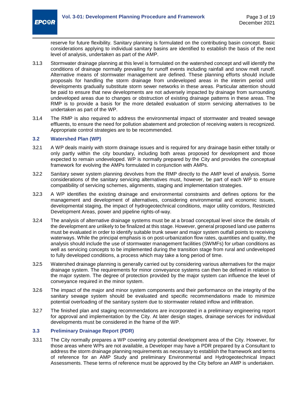reserve for future flexibility. Sanitary planning is formulated on the contributing basin concept. Basic considerations applying to individual sanitary basins are identified to establish the basis of the next level of analysis, undertaken as part of the AMP.

- 3.1.3 Stormwater drainage planning at this level is formulated on the watershed concept and will identify the conditions of drainage normally prevailing for runoff events including rainfall and snow melt runoff. Alternative means of stormwater management are defined. These planning efforts should include proposals for handling the storm drainage from undeveloped areas in the interim period until developments gradually substitute storm sewer networks in these areas. Particular attention should be paid to ensure that new developments are not adversely impacted by drainage from surrounding undeveloped areas due to changes or obstruction of existing drainage patterns in these areas. The RMP is to provide a basis for the more detailed evaluation of storm servicing alternatives to be undertaken as part of the WP.
- 3.1.4 The RMP is also required to address the environmental impact of stormwater and treated sewage effluents, to ensure the need for pollution abatement and protection of receiving waters is recognized. Appropriate control strategies are to be recommended.

#### <span id="page-9-0"></span>**3.2 Watershed Plan (WP)**

**EPC<sup>OR</sup>** 

- 3.2.1 A WP deals mainly with storm drainage issues and is required for any drainage basin either totally or only partly within the city boundary, including both areas proposed for development and those expected to remain undeveloped. WP is normally prepared by the City and provides the conceptual framework for evolving the AMPs formulated in conjunction with AMPs.
- 3.2.2 Sanitary sewer system planning devolves from the RMP directly to the AMP level of analysis. Some considerations of the sanitary servicing alternatives must, however, be part of each WP to ensure compatibility of servicing schemes, alignments, staging and implementation strategies.
- 3.2.3 A WP identifies the existing drainage and environmental constraints and defines options for the management and development of alternatives, considering environmental and economic issues, developmental staging, the impact of hydrogeotechnical conditions, major utility corridors, Restricted Development Areas, power and pipeline rights-of-way.
- 3.2.4 The analysis of alternative drainage systems must be at a broad conceptual level since the details of the development are unlikely to be finalized at this stage. However, general proposed land use patterns must be evaluated in order to identify suitable trunk sewer and major system outfall points to receiving waterways. While the principal emphasis is on post-urbanization flow rates, quantities and quality, the analysis should include the use of stormwater management facilities (SWMFs) for urban conditions as well as servicing concepts to be implemented during the transition stage from rural and undeveloped to fully developed conditions, a process which may take a long period of time.
- 3.2.5 Watershed drainage planning is generally carried out by considering various alternatives for the major drainage system. The requirements for minor conveyance systems can then be defined in relation to the major system. The degree of protection provided by the major system can influence the level of conveyance required in the minor system.
- 3.2.6 The impact of the major and minor system components and their performance on the integrity of the sanitary sewage system should be evaluated and specific recommendations made to minimize potential overloading of the sanitary system due to stormwater related inflow and infiltration.
- 3.2.7 The finished plan and staging recommendations are incorporated in a preliminary engineering report for approval and implementation by the City. At later design stages, drainage services for individual developments must be considered in the frame of the WP.

#### <span id="page-9-1"></span>**3.3 Preliminary Drainage Report (PDR)**

3.3.1 The City normally prepares a WP covering any potential development area of the City. However, for those areas where WPs are not available, a Developer may have a PDR prepared by a Consultant to address the storm drainage planning requirements as necessary to establish the framework and terms of reference for an AMP Study and preliminary Environmental and Hydrogeotechnical Impact Assessments. These terms of reference must be approved by the City before an AMP is undertaken.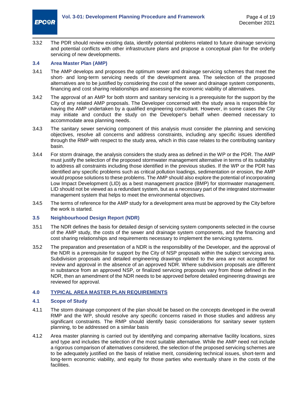

3.3.2 The PDR should review existing data, identify potential problems related to future drainage servicing and potential conflicts with other infrastructure plans and propose a conceptual plan for the orderly servicing of new developments.

#### <span id="page-10-0"></span>**3.4 Area Master Plan (AMP)**

- 3.4.1 The AMP develops and proposes the optimum sewer and drainage servicing schemes that meet the short- and long-term servicing needs of the development area. The selection of the proposed alternatives are to be justified by considering the cost of the sewer and drainage system components, financing and cost sharing relationships and assessing the economic viability of alternatives.
- 3.4.2 The approval of an AMP for both storm and sanitary servicing is a prerequisite for the support by the City of any related AMP proposals. The Developer concerned with the study area is responsible for having the AMP undertaken by a qualified engineering consultant. However, in some cases the City may initiate and conduct the study on the Developer's behalf when deemed necessary to accommodate area planning needs.
- 3.4.3 The sanitary sewer servicing component of this analysis must consider the planning and servicing objectives, resolve all concerns and address constraints, including any specific issues identified through the RMP with respect to the study area, which in this case relates to the contributing sanitary basin.
- 3.4.4 For storm drainage, the analysis considers the study area as defined in the WP or the PDR. The AMP must justify the selection of the proposed stormwater management alternative in terms of its suitability to address all constraints including those identified in the previous studies. If the WP or the PDR has identified any specific problems such as critical pollution loadings, sedimentation or erosion, the AMP would propose solutions to these problems. The AMP should also explore the potential of incorporating Low Impact Development (LID) as a best management practice (BMP) for stormwater management. LID should not be viewed as a redundant system, but as a necessary part of the integrated stormwater management system that helps to meet the environmental objectives.
- 3.4.5 The terms of reference for the AMP study for a development area must be approved by the City before the work is started.

#### <span id="page-10-1"></span>**3.5 Neighbourhood Design Report (NDR)**

- 3.5.1 The NDR defines the basis for detailed design of servicing system components selected in the course of the AMP study, the costs of the sewer and drainage system components, and the financing and cost sharing relationships and requirements necessary to implement the servicing systems.
- 3.5.2 The preparation and presentation of a NDR is the responsibility of the Developer, and the approval of the NDR is a prerequisite for support by the City of NSP proposals within the subject servicing area. Subdivision proposals and detailed engineering drawings related to the area are not accepted for review and approval in the absence of an approved NDR. Where subdivision proposals are different in substance from an approved NSP, or finalized servicing proposals vary from those defined in the NDR, then an amendment of the NDR needs to be approved before detailed engineering drawings are reviewed for approval.

#### <span id="page-10-2"></span>**4.0 TYPICAL AREA MASTER PLAN REQUIREMENTS**

#### <span id="page-10-3"></span>**4.1 Scope of Study**

- 4.1.1 The storm drainage component of the plan should be based on the concepts developed in the overall RMP and the WP, should resolve any specific concerns raised in those studies and address any significant constraints. The RMP should identify basic considerations for sanitary sewer system planning, to be addressed on a similar basis
- 4.1.2 Area master planning is carried out by identifying and comparing alternative facility locations, sizes and type and includes the selection of the most suitable alternative. While the AMP need not include a rigorous comparison of alternatives considered, the selection of the proposed servicing schemes are to be adequately justified on the basis of relative merit, considering technical issues, short-term and long-term economic viability, and equity for those parties who eventually share in the costs of the facilities.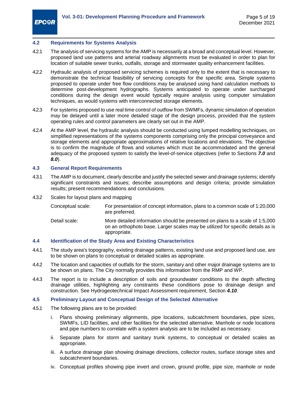#### <span id="page-11-0"></span>**4.2 Requirements for Systems Analysis**

- 4.2.1 The analysis of servicing systems for the AMP is necessarily at a broad and conceptual level. However, proposed land use patterns and arterial roadway alignments must be evaluated in order to plan for location of suitable sewer trunks, outfalls, storage and stormwater quality enhancement facilities.
- 4.2.2 Hydraulic analysis of proposed servicing schemes is required only to the extent that is necessary to demonstrate the technical feasibility of servicing concepts for the specific area. Simple systems proposed to operate under free flow conditions may be analysed using hand calculation methods to determine post-development hydrographs. Systems anticipated to operate under surcharged conditions during the design event would typically require analysis using computer simulation techniques, as would systems with interconnected storage elements.
- 4.2.3 For systems proposed to use real time control of outflow from SWMFs, dynamic simulation of operation may be delayed until a later more detailed stage of the design process, provided that the system operating rules and control parameters are clearly set out in the AMP.
- 4.2.4 At the AMP level, the hydraulic analysis should be conducted using lumped modelling techniques, on simplified representations of the systems components comprising only the principal conveyance and storage elements and appropriate approximations of relative locations and elevations. The objective is to confirm the magnitude of flows and volumes which must be accommodated and the general adequacy of the proposed system to satisfy the level-of-service objectives (refer to Sections *[7.0](#page-21-4)* and *[8.0](#page-22-2)*).

#### <span id="page-11-1"></span>**4.3 General Report Requirements**

4.3.1 The AMP is to document, clearly describe and justify the selected sewer and drainage systems; identify significant constraints and issues; describe assumptions and design criteria; provide simulation results; present recommendations and conclusions.

#### 4.3.2 Scales for layout plans and mapping

- Conceptual scale: For presentation of concept information, plans to a common scale of 1:20,000 are preferred.
- Detail scale: More detailed information should be presented on plans to a scale of 1:5,000 on an orthophoto base. Larger scales may be utilized for specific details as is appropriate.

#### <span id="page-11-2"></span>**4.4 Identification of the Study Area and Existing Characteristics**

- 4.4.1 The study area's topography, existing drainage patterns, existing land use and proposed land use, are to be shown on plans to conceptual or detailed scales as appropriate.
- 4.4.2 The location and capacities of outfalls for the storm, sanitary and other major drainage systems are to be shown on plans. The City normally provides this information from the RMP and WP.
- 4.4.3 The report is to include a description of soils and groundwater conditions to the depth affecting drainage utilities, highlighting any constraints these conditions pose to drainage design and construction. See Hydrogeotechnical Impact Assessment requirement, Section *[4.10](#page-15-0)*.

#### <span id="page-11-3"></span>**4.5 Preliminary Layout and Conceptual Design of the Selected Alternative**

- 4.5.1 The following plans are to be provided:
	- i. Plans showing preliminary alignments, pipe locations, subcatchment boundaries, pipe sizes, SWMFs, LID facilities, and other facilities for the selected alternative. Manhole or node locations and pipe numbers to correlate with a system analysis are to be included as necessary.
	- ii. Separate plans for storm and sanitary trunk systems, to conceptual or detailed scales as appropriate.
	- iii. A surface drainage plan showing drainage directions, collector routes, surface storage sites and subcatchment boundaries.
	- iv. Conceptual profiles showing pipe invert and crown, ground profile, pipe size, manhole or node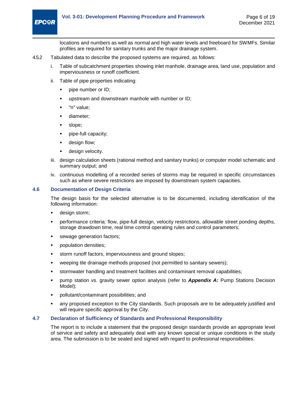

locations and numbers as well as normal and high water levels and freeboard for SWMFs. Similar profiles are required for sanitary trunks and the major drainage system.

- 4.5.2 Tabulated data to describe the proposed systems are required, as follows:
	- i. Table of subcatchment properties showing inlet manhole, drainage area, land use, population and imperviousness or runoff coefficient.
	- ii. Table of pipe properties indicating:
		- pipe number or ID;
		- upstream and downstream manhole with number or ID;
		- "n" value;
		- diameter;
		- slope;
		- pipe-full capacity;
		- design flow;
		- **design velocity.**
	- iii. design calculation sheets (rational method and sanitary trunks) or computer model schematic and summary output; and
	- iv. continuous modelling of a recorded series of storms may be required in specific circumstances such as where severe restrictions are imposed by downstream system capacities.

#### <span id="page-12-0"></span>**4.6 Documentation of Design Criteria**

The design basis for the selected alternative is to be documented, including identification of the following information:

- design storm;
- performance criteria: flow, pipe-full design, velocity restrictions, allowable street ponding depths, storage drawdown time, real time control operating rules and control parameters;
- sewage generation factors;
- population densities;
- storm runoff factors, imperviousness and ground slopes;
- weeping tile drainage methods proposed (not permitted to sanitary sewers);
- stormwater handling and treatment facilities and contaminant removal capabilities;
- pump station vs. gravity sewer option analysis (refer to *[Appendix A:](#page-26-0)* Pump Stations Decision Model);
- pollutant/contaminant possibilities; and
- any proposed exception to the City standards. Such proposals are to be adequately justified and will require specific approval by the City.

#### <span id="page-12-1"></span>**4.7 Declaration of Sufficiency of Standards and Professional Responsibility**

The report is to include a statement that the proposed design standards provide an appropriate level of service and safety and adequately deal with any known special or unique conditions in the study area. The submission is to be sealed and signed with regard to professional responsibilities.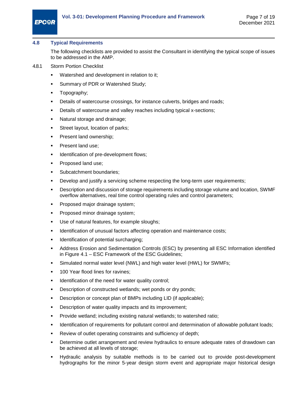#### <span id="page-13-0"></span>**4.8 Typical Requirements**

The following checklists are provided to assist the Consultant in identifying the typical scope of issues to be addressed in the AMP.

- 4.8.1 Storm Portion Checklist
	- Watershed and development in relation to it;
	- Summary of PDR or Watershed Study;
	- **Topography**;
	- Details of watercourse crossings, for instance culverts, bridges and roads;
	- Details of watercourse and valley reaches including typical x-sections;
	- Natural storage and drainage;
	- Street layout, location of parks;
	- Present land ownership;
	- Present land use;
	- Identification of pre-development flows;
	- Proposed land use;
	- Subcatchment boundaries;
	- Develop and justify a servicing scheme respecting the long-term user requirements;
	- Description and discussion of storage requirements including storage volume and location, SWMF overflow alternatives, real time control operating rules and control parameters;
	- Proposed major drainage system;
	- Proposed minor drainage system;
	- Use of natural features, for example sloughs;
	- Identification of unusual factors affecting operation and maintenance costs;
	- Identification of potential surcharging;
	- Address Erosion and Sedimentation Controls (ESC) by presenting all ESC Information identified in Figure 4.1 – ESC Framework of the ESC Guidelines;
	- Simulated normal water level (NWL) and high water level (HWL) for SWMFs;
	- 100 Year flood lines for ravines;
	- Identification of the need for water quality control;
	- Description of constructed wetlands; wet ponds or dry ponds;
	- Description or concept plan of BMPs including LID (if applicable);
	- **Description of water quality impacts and its improvement;**
	- Provide wetland; including existing natural wetlands; to watershed ratio;
	- Identification of requirements for pollutant control and determination of allowable pollutant loads;
	- Review of outlet operating constraints and sufficiency of depth;
	- Determine outlet arrangement and review hydraulics to ensure adequate rates of drawdown can be achieved at all levels of storage;
	- Hydraulic analysis by suitable methods is to be carried out to provide post-development hydrographs for the minor 5-year design storm event and appropriate major historical design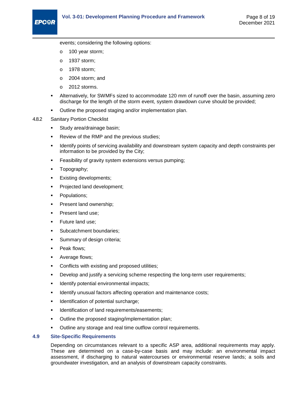events; considering the following options:

- o 100 year storm;
- o 1937 storm;
- o 1978 storm;
- o 2004 storm; and
- o 2012 storms.
- Alternatively, for SWMFs sized to accommodate 120 mm of runoff over the basin, assuming zero discharge for the length of the storm event, system drawdown curve should be provided;
- Outline the proposed staging and/or implementation plan.
- 4.8.2 Sanitary Portion Checklist
	- **Study area/drainage basin;**
	- Review of the RMP and the previous studies;
	- Identify points of servicing availability and downstream system capacity and depth constraints per information to be provided by the City;
	- Feasibility of gravity system extensions versus pumping;
	- Topography;
	- Existing developments;
	- Projected land development;
	- Populations;
	- Present land ownership;
	- Present land use;
	- Future land use;
	- Subcatchment boundaries;
	- Summary of design criteria;
	- Peak flows;
	- Average flows;
	- Conflicts with existing and proposed utilities;
	- Develop and justify a servicing scheme respecting the long-term user requirements;
	- Identify potential environmental impacts;
	- Identify unusual factors affecting operation and maintenance costs;
	- Identification of potential surcharge;
	- Identification of land requirements/easements;
	- Outline the proposed staging/implementation plan;
	- Outline any storage and real time outflow control requirements.

#### <span id="page-14-0"></span>**4.9 Site-Specific Requirements**

Depending on circumstances relevant to a specific ASP area, additional requirements may apply. These are determined on a case-by-case basis and may include: an environmental impact assessment, if discharging to natural watercourses or environmental reserve lands; a soils and groundwater investigation, and an analysis of downstream capacity constraints.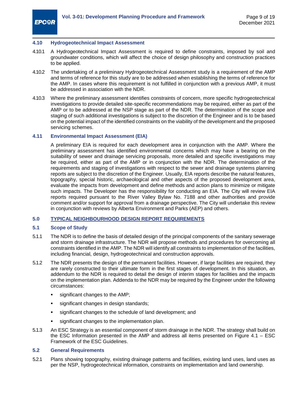#### <span id="page-15-0"></span>**4.10 Hydrogeotechnical Impact Assessment**

- 4.10.1 A Hydrogeotechnical Impact Assessment is required to define constraints, imposed by soil and groundwater conditions, which will affect the choice of design philosophy and construction practices to be applied.
- 4.10.2 The undertaking of a preliminary Hydrogeotechnical Assessment study is a requirement of the AMP and terms of reference for this study are to be addressed when establishing the terms of reference for the AMP. In cases where this requirement is not fulfilled in conjunction with a previous AMP, it must be addressed in association with the NDR.
- 4.10.3 Where the preliminary assessment identifies constraints of concern, more specific hydrogeotechnical investigations to provide detailed site-specific recommendations may be required, either as part of the AMP or to be addressed at the NSP stage as part of the NDR. The determination of the scope and staging of such additional investigations is subject to the discretion of the Engineer and is to be based on the potential impact of the identified constraints on the viability of the development and the proposed servicing schemes.

#### <span id="page-15-1"></span>**4.11 Environmental Impact Assessment (EIA)**

A preliminary EIA is required for each development area in conjunction with the AMP. Where the preliminary assessment has identified environmental concerns which may have a bearing on the suitability of sewer and drainage servicing proposals, more detailed and specific investigations may be required, either as part of the AMP or in conjunction with the NDR. The determination of the requirements and staging of investigations with respect to the sewer and drainage systems planning reports are subject to the discretion of the Engineer. Usually, EIA reports describe the natural features, topography, special historic, archaeological and other aspects of the proposed development area, evaluate the impacts from development and define methods and action plans to minimize or mitigate such impacts. The Developer has the responsibility for conducting an EIA. The City will review EIA reports required pursuant to the River Valley Bylaw No. [7188](https://www.edmonton.ca/residential_neighbourhoods/documents/plans_in_effect/North_Saskatchewan_River_ARP_Consolidation.pdf) and other authorities and provide comment and/or support for approval from a drainage perspective. The City will undertake this review in conjunction with reviews by Alberta Environment and Parks (AEP) and others.

#### <span id="page-15-2"></span>**5.0 TYPICAL NEIGHBOURHOOD DESIGN REPORT REQUIREMENTS**

#### <span id="page-15-3"></span>**5.1 Scope of Study**

- 5.1.1 The NDR is to define the basis of detailed design of the principal components of the sanitary sewerage and storm drainage infrastructure. The NDR will propose methods and procedures for overcoming all constraints identified in the AMP. The NDR will identify all constraints to implementation of the facilities, including financial, design, hydrogeotechnical and construction approvals.
- 5.1.2 The NDR presents the design of the permanent facilities. However, if large facilities are required, they are rarely constructed to their ultimate form in the first stages of development. In this situation, an addendum to the NDR is required to detail the design of interim stages for facilities and the impacts on the implementation plan. Addenda to the NDR may be required by the Engineer under the following circumstances:
	- significant changes to the AMP;
	- significant changes in design standards;
	- significant changes to the schedule of land development; and
	- **significant changes to the implementation plan.**
- 5.1.3 An ESC Strategy is an essential component of storm drainage in the NDR. The strategy shall build on the ESC Information presented in the AMP and address all items presented on Figure 4.1 – ESC Framework of the ESC Guidelines.

#### <span id="page-15-4"></span>**5.2 General Requirements**

5.2.1 Plans showing topography, existing drainage patterns and facilities, existing land uses, land uses as per the NSP, hydrogeotechnical information, constraints on implementation and land ownership.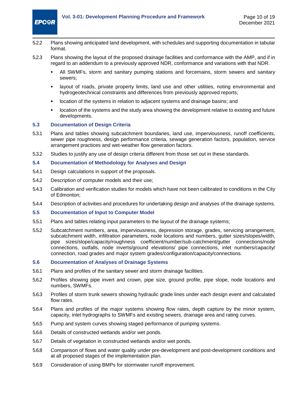

- 5.2.2 Plans showing anticipated land development, with schedules and supporting documentation in tabular format.
- 5.2.3 Plans showing the layout of the proposed drainage facilities and conformance with the AMP, and if in regard to an addendum to a previously approved NDR, conformance and variations with that NDR.
	- All SWMFs, storm and sanitary pumping stations and forcemains, storm sewers and sanitary sewers;
	- layout of roads, private property limits, land use and other utilities, noting environmental and hydrogeotechnical constraints and differences from previously approved reports;
	- location of the systems in relation to adjacent systems and drainage basins; and
	- location of the systems and the study area showing the development relative to existing and future developments.

#### <span id="page-16-0"></span>**5.3 Documentation of Design Criteria**

- 5.3.1 Plans and tables showing subcatchment boundaries, land use, imperviousness, runoff coefficients, sewer pipe roughness, design performance criteria, sewage generation factors, population, service arrangement practices and wet-weather flow generation factors.
- 5.3.2 Studies to justify any use of design criteria different from those set out in these standards.

#### <span id="page-16-1"></span>**5.4 Documentation of Methodology for Analyses and Design**

- 5.4.1 Design calculations in support of the proposals.
- 5.4.2 Description of computer models and their use;
- 5.4.3 Calibration and verification studies for models which have not been calibrated to conditions in the City of Edmonton;
- 5.4.4 Description of activities and procedures for undertaking design and analyses of the drainage systems.

#### <span id="page-16-2"></span>**5.5 Documentation of Input to Computer Model**

- 5.5.1 Plans and tables relating input parameters to the layout of the drainage systems;
- 5.5.2 Subcatchment numbers, area, imperviousness, depression storage, grades, servicing arrangement, subcatchment width, infiltration parameters, node locations and numbers, gutter sizes/slopes/width, pipe sizes/slope/capacity/roughness coefficient/number/sub-catchment/gutter connections/node connections, outfalls, node inverts/ground elevations/ pipe connections, inlet numbers/capacity/ connection, road grades and major system grades/configuration/capacity/connections.

#### <span id="page-16-3"></span>**5.6 Documentation of Analyses of Drainage Systems**

- 5.6.1 Plans and profiles of the sanitary sewer and storm drainage facilities.
- 5.6.2 Profiles showing pipe invert and crown, pipe size, ground profile, pipe slope, node locations and numbers, SWMFs.
- 5.6.3 Profiles of storm trunk sewers showing hydraulic grade lines under each design event and calculated flow rates.
- 5.6.4 Plans and profiles of the major systems showing flow rates, depth capture by the minor system, capacity, inlet hydrographs to SWMFs and existing sewers, drainage area and rating curves.
- 5.6.5 Pump and system curves showing staged performance of pumping systems.
- 5.6.6 Details of constructed wetlands and/or wet ponds.
- 5.6.7 Details of vegetation in constructed wetlands and/or wet ponds.
- 5.6.8 Comparison of flows and water quality under pre-development and post-development conditions and at all proposed stages of the implementation plan.
- 5.6.9 Consideration of using BMPs for stormwater runoff improvement.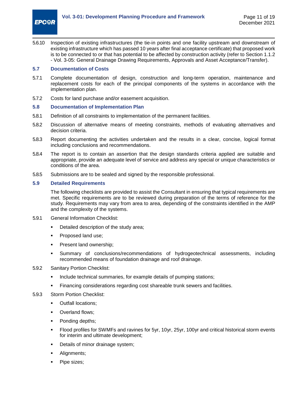

5.6.10 Inspection of existing infrastructures (the tie-in points and one facility upstream and downstream of existing infrastructure which has passed 10 years after final acceptance certificate) that proposed work is to be connected to or that has potential to be affected by construction activity (refer to Section 1.1.2 - Vol. 3-05: General Drainage Drawing Requirements, Approvals and Asset Acceptance/Transfer).

#### <span id="page-17-0"></span>**5.7 Documentation of Costs**

- 5.7.1 Complete documentation of design, construction and long-term operation, maintenance and replacement costs for each of the principal components of the systems in accordance with the implementation plan.
- 5.7.2 Costs for land purchase and/or easement acquisition.

#### <span id="page-17-1"></span>**5.8 Documentation of Implementation Plan**

- 5.8.1 Definition of all constraints to implementation of the permanent facilities.
- 5.8.2 Discussion of alternative means of meeting constraints, methods of evaluating alternatives and decision criteria.
- 5.8.3 Report documenting the activities undertaken and the results in a clear, concise, logical format including conclusions and recommendations.
- 5.8.4 The report is to contain an assertion that the design standards criteria applied are suitable and appropriate, provide an adequate level of service and address any special or unique characteristics or conditions of the area.
- 5.8.5 Submissions are to be sealed and signed by the responsible professional.

#### <span id="page-17-2"></span>**5.9 Detailed Requirements**

The following checklists are provided to assist the Consultant in ensuring that typical requirements are met. Specific requirements are to be reviewed during preparation of the terms of reference for the study. Requirements may vary from area to area, depending of the constraints identified in the AMP and the complexity of the systems.

- 5.9.1 General Information Checklist:
	- **•** Detailed description of the study area;
	- Proposed land use;
	- Present land ownership;
	- Summary of conclusions/recommendations of hydrogeotechnical assessments, including recommended means of foundation drainage and roof drainage.
- 5.9.2 Sanitary Portion Checklist:
	- Include technical summaries, for example details of pumping stations;
	- Financing considerations regarding cost shareable trunk sewers and facilities.
- 5.9.3 Storm Portion Checklist:
	- Outfall locations;
	- Overland flows;
	- Ponding depths;
	- Flood profiles for SWMFs and ravines for 5yr, 10yr, 25yr, 100yr and critical historical storm events for interim and ultimate development;
	- Details of minor drainage system;
	- Alignments;
	- Pipe sizes;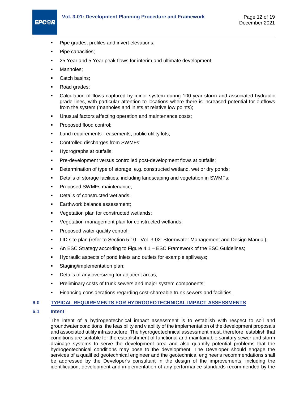#### **Vol. 3-01: Development Planning Procedure and Framework** Page 12 of 19

- **Pipe grades, profiles and invert elevations;**
- Pipe capacities;
- 25 Year and 5 Year peak flows for interim and ultimate development;
- Manholes;

**EPC@R** 

- Catch basins;
- Road grades;
- Calculation of flows captured by minor system during 100-year storm and associated hydraulic grade lines, with particular attention to locations where there is increased potential for outflows from the system (manholes and inlets at relative low points);
- Unusual factors affecting operation and maintenance costs;
- Proposed flood control;
- Land requirements easements, public utility lots;
- Controlled discharges from SWMFs;
- Hydrographs at outfalls;
- Pre-development versus controlled post-development flows at outfalls;
- Determination of type of storage, e.g. constructed wetland, wet or dry ponds;
- Details of storage facilities, including landscaping and vegetation in SWMFs;
- Proposed SWMFs maintenance;
- Details of constructed wetlands;
- Earthwork balance assessment;
- Vegetation plan for constructed wetlands;
- Vegetation management plan for constructed wetlands;
- Proposed water quality control;
- LID site plan (refer to Section 5.10 Vol. 3-02: Stormwater Management and Design Manual);
- An ESC Strategy according to Figure 4.1 ESC Framework of the ESC Guidelines;
- Hydraulic aspects of pond inlets and outlets for example spillways;
- Staging/implementation plan;
- Details of any oversizing for adjacent areas;
- Preliminary costs of trunk sewers and major system components;
- Financing considerations regarding cost-shareable trunk sewers and facilities.

#### <span id="page-18-0"></span>**6.0 TYPICAL REQUIREMENTS FOR HYDROGEOTECHNICAL IMPACT ASSESSMENTS**

#### <span id="page-18-1"></span>**6.1 Intent**

The intent of a hydrogeotechnical impact assessment is to establish with respect to soil and groundwater conditions, the feasibility and viability of the implementation of the development proposals and associated utility infrastructure. The hydrogeotechnical assessment must, therefore, establish that conditions are suitable for the establishment of functional and maintainable sanitary sewer and storm drainage systems to serve the development area and also quantify potential problems that the hydrogeotechnical conditions may pose to the development. The Developer should engage the services of a qualified geotechnical engineer and the geotechnical engineer's recommendations shall be addressed by the Developer's consultant in the design of the improvements, including the identification, development and implementation of any performance standards recommended by the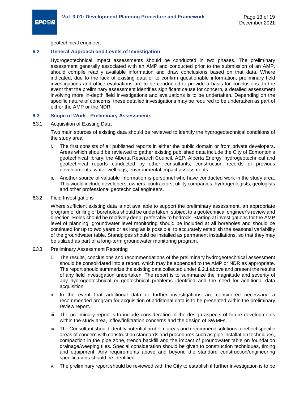geotechnical engineer.

#### <span id="page-19-0"></span>**6.2 General Approach and Levels of Investigation**

Hydrogeotechnical impact assessments should be conducted in two phases. The preliminary assessment generally associated with an AMP and conducted prior to the submission of an AMP, should compile readily available information and draw conclusions based on that data. Where indicated, due to the lack of existing data or to confirm questionable information, preliminary field investigations and office evaluations are to be conducted to provide a basis for conclusions. In the event that the preliminary assessment identifies significant cause for concern, a detailed assessment involving more in-depth field investigations and evaluations is to be undertaken. Depending on the specific nature of concerns, these detailed investigations may be required to be undertaken as part of either the AMP or the NDR.

#### <span id="page-19-1"></span>**6.3 Scope of Work - Preliminary Assessments**

<span id="page-19-2"></span>6.3.1 Acquisition of Existing Data

Two main sources of existing data should be reviewed to identify the hydrogeotechnical conditions of the study area.

- i. The first consists of all published reports in either the public domain or from private developers. Areas which should be reviewed to gather existing published data include the City of Edmonton's geotechnical library; the Alberta Research Council, AEP, Alberta Energy; hydrogeotechnical and geotechnical reports conducted by other consultants; construction records of previous developments; water well logs; environmental impact assessments.
- ii. Another source of valuable information is personnel who have conducted work in the study area. This would include developers, owners, contractors, utility companies, hydrogeologists, geologists and other professional geotechnical engineers.
- 6.3.2 Field Investigations

Where sufficient existing data is not available to support the preliminary assessment, an appropriate program of drilling of boreholes should be undertaken, subject to a geotechnical engineer's review and direction. Holes should be relatively deep, preferably to bedrock. Starting at investigations for the AMP level of planning, groundwater level monitoring should be included at all boreholes and should be continued for up to two years or as long as is possible, to accurately establish the seasonal variability of the groundwater table. Standpipes should be installed as permanent installations, so that they may be utilized as part of a long-term groundwater monitoring program.

- 6.3.3 Preliminary Assessment Reporting
	- i. The results, conclusions and recommendations of the preliminary hydrogeotechnical assessment should be consolidated into a report, which may be appended to the AMP or NDR as appropriate. The report should summarize the existing data collected under *[6.3.1](#page-19-2)* above and present the results of any field investigation undertaken. The report is to summarize the magnitude and severity of any hydrogeotechnical or geotechnical problems identified and the need for additional data acquisition.
	- ii. In the event that additional data or further investigations are considered necessary, a recommended program for acquisition of additional data is to be presented within the preliminary review report.
	- iii. The preliminary report is to include consideration of the design aspects of future developments within the study area, inflow/infiltration concerns and the design of SWMFs.
	- iv. The Consultant should identify potential problem areas and recommend solutions to reflect specific areas of concern with construction standards and procedures such as pipe installation techniques, compaction in the pipe zone, trench backfill and the impact of groundwater table on foundation drainage/weeping tiles. Special consideration should be given to construction techniques, timing and equipment. Any requirements above and beyond the standard construction/engineering specifications should be identified.
	- v. The preliminary report should be reviewed with the City to establish if further investigation is to be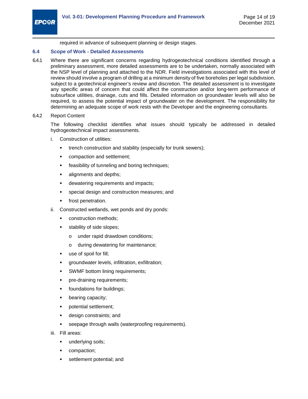required in advance of subsequent planning or design stages.

#### <span id="page-20-0"></span>**6.4 Scope of Work - Detailed Assessments**

6.4.1 Where there are significant concerns regarding hydrogeotechnical conditions identified through a preliminary assessment, more detailed assessments are to be undertaken, normally associated with the NSP level of planning and attached to the NDR. Field investigations associated with this level of review should involve a program of drilling at a minimum density of five boreholes per legal subdivision, subject to a geotechnical engineer's review and discretion. The detailed assessment is to investigate any specific areas of concern that could affect the construction and/or long-term performance of subsurface utilities, drainage, cuts and fills. Detailed information on groundwater levels will also be required, to assess the potential impact of groundwater on the development. The responsibility for determining an adequate scope of work rests with the Developer and the engineering consultants.

#### 6.4.2 Report Content

The following checklist identifies what issues should typically be addressed in detailed hydrogeotechnical impact assessments.

- i. Construction of utilities:
	- trench construction and stability (especially for trunk sewers);
	- compaction and settlement;
	- feasibility of tunneling and boring techniques;
	- alignments and depths;
	- dewatering requirements and impacts;
	- special design and construction measures; and
	- frost penetration.
- ii. Constructed wetlands, wet ponds and dry ponds:
	- construction methods;
	- stability of side slopes;
		- o under rapid drawdown conditions;
		- o during dewatering for maintenance;
	- use of spoil for fill;
	- groundwater levels, infiltration, exfiltration;
	- SWMF bottom lining requirements;
	- pre-draining requirements;
	- foundations for buildings;
	- bearing capacity;
	- potential settlement;
	- design constraints; and
	- seepage through walls (waterproofing requirements).
- iii. Fill areas:
	- underlying soils;
	- compaction;
	- settlement potential; and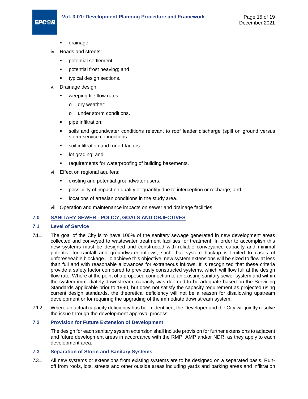## **EPC<sup>OR</sup>**

- drainage.
- iv. Roads and streets:
	- potential settlement;
	- potential frost heaving; and
	- **•** typical design sections.
- v. Drainage design:
	- weeping tile flow rates;
		- o dry weather;
		- o under storm conditions.
	- pipe infiltration;
	- soils and groundwater conditions relevant to roof leader discharge (spill on ground versus storm service connections ;
	- soil infiltration and runoff factors
	- lot grading; and
	- **•** requirements for waterproofing of building basements.
- vi. Effect on regional aquifers:
	- existing and potential groundwater users;
	- possibility of impact on quality or quantity due to interception or recharge; and
	- locations of artesian conditions in the study area.
- vii. Operation and maintenance impacts on sewer and drainage facilities.

#### <span id="page-21-4"></span><span id="page-21-0"></span>**7.0 SANITARY SEWER - POLICY, GOALS AND OBJECTIVES**

#### <span id="page-21-1"></span>**7.1 Level of Service**

- 7.1.1 The goal of the City is to have 100% of the sanitary sewage generated in new development areas collected and conveyed to wastewater treatment facilities for treatment. In order to accomplish this new systems must be designed and constructed with reliable conveyance capacity and minimal potential for rainfall and groundwater inflows, such that system backup is limited to cases of unforeseeable blockage. To achieve this objective, new system extensions will be sized to flow at less than full and with reasonable allowances for extraneous inflows. It is recognized that these criteria provide a safety factor compared to previously constructed systems, which will flow full at the design flow rate. Where at the point of a proposed connection to an existing sanitary sewer system and within the system immediately downstream, capacity was deemed to be adequate based on the Servicing Standards applicable prior to 1990, but does not satisfy the capacity requirement as projected using current design standards, the theoretical deficiency will not be a reason for disallowing upstream development or for requiring the upgrading of the immediate downstream system.
- 7.1.2 Where an actual capacity deficiency has been identified, the Developer and the City will jointly resolve the issue through the development approval process.

#### <span id="page-21-2"></span>**7.2 Provision for Future Extension of Development**

The design for each sanitary system extension shall include provision for further extensions to adjacent and future development areas in accordance with the RMP, AMP and/or NDR, as they apply to each development area.

#### <span id="page-21-3"></span>**7.3 Separation of Storm and Sanitary Systems**

7.3.1 All new systems or extensions from existing systems are to be designed on a separated basis. Runoff from roofs, lots, streets and other outside areas including yards and parking areas and infiltration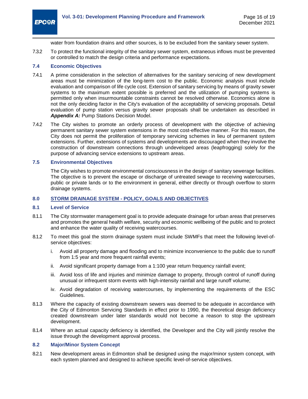

water from foundation drains and other sources, is to be excluded from the sanitary sewer system.

7.3.2 To protect the functional integrity of the sanitary sewer system, extraneous inflows must be prevented or controlled to match the design criteria and performance expectations.

#### <span id="page-22-0"></span>**7.4 Economic Objectives**

- 7.4.1 A prime consideration in the selection of alternatives for the sanitary servicing of new development areas must be minimization of the long-term cost to the public. Economic analysis must include evaluation and comparison of life cycle cost. Extension of sanitary servicing by means of gravity sewer systems to the maximum extent possible is preferred and the utilization of pumping systems is permitted only when insurmountable constraints cannot be resolved otherwise. Economics alone is not the only deciding factor in the City's evaluation of the acceptability of servicing proposals. Detail evaluation of pump station versus gravity sewer proposals shall be undertaken as described in **[Appendix A:](#page-26-0) Pump Stations Decision Model.**
- 7.4.2 The City wishes to promote an orderly process of development with the objective of achieving permanent sanitary sewer system extensions in the most cost-effective manner. For this reason, the City does not permit the proliferation of temporary servicing schemes in lieu of permanent system extensions. Further, extensions of systems and developments are discouraged when they involve the construction of downstream connections through undeveloped areas (leapfrogging) solely for the purpose of advancing service extensions to upstream areas.

#### <span id="page-22-1"></span>**7.5 Environmental Objectives**

The City wishes to promote environmental consciousness in the design of sanitary sewerage facilities. The objective is to prevent the escape or discharge of untreated sewage to receiving watercourses, public or private lands or to the environment in general, either directly or through overflow to storm drainage systems.

#### <span id="page-22-2"></span>**8.0 STORM DRAINAGE SYSTEM - POLICY, GOALS AND OBJECTIVES**

#### <span id="page-22-3"></span>**8.1 Level of Service**

- 8.1.1 The City stormwater management goal is to provide adequate drainage for urban areas that preserves and promotes the general health welfare, security and economic wellbeing of the public and to protect and enhance the water quality of receiving watercourses.
- 8.1.2 To meet this goal the storm drainage system must include SWMFs that meet the following level-ofservice objectives:
	- i. Avoid all property damage and flooding and to minimize inconvenience to the public due to runoff from 1:5 year and more frequent rainfall events;
	- ii. Avoid significant property damage from a 1:100 year return frequency rainfall event;
	- iii. Avoid loss of life and injuries and minimize damage to property, through control of runoff during unusual or infrequent storm events with high-intensity rainfall and large runoff volume;
	- iv. Avoid degradation of receiving watercourses, by implementing the requirements of the ESC Guidelines.
- 8.1.3 Where the capacity of existing downstream sewers was deemed to be adequate in accordance with the City of Edmonton Servicing Standards in effect prior to 1990, the theoretical design deficiency created downstream under later standards would not become a reason to stop the upstream development.
- 8.1.4 Where an actual capacity deficiency is identified, the Developer and the City will jointly resolve the issue through the development approval process.

#### <span id="page-22-4"></span>**8.2 Major/Minor System Concept**

8.2.1 New development areas in Edmonton shall be designed using the major/minor system concept, with each system planned and designed to achieve specific level-of-service objectives.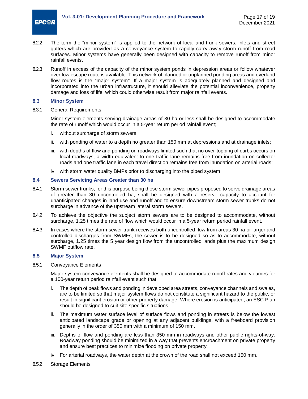

- 8.2.2 The term the "minor system" is applied to the network of local and trunk sewers, inlets and street gutters which are provided as a conveyance system to rapidly carry away storm runoff from road surfaces. Minor systems have generally been designed with capacity to remove runoff from minor rainfall events.
- 8.2.3 Runoff in excess of the capacity of the minor system ponds in depression areas or follow whatever overflow escape route is available. This network of planned or unplanned ponding areas and overland flow routes is the "major system". If a major system is adequately planned and designed and incorporated into the urban infrastructure, it should alleviate the potential inconvenience, property damage and loss of life, which could otherwise result from major rainfall events.

#### <span id="page-23-0"></span>**8.3 Minor System**

8.3.1 General Requirements

Minor-system elements serving drainage areas of 30 ha or less shall be designed to accommodate the rate of runoff which would occur in a 5-year return period rainfall event;

- i. without surcharge of storm sewers;
- ii. with ponding of water to a depth no greater than 150 mm at depressions and at drainage inlets;
- iii. with depths of flow and ponding on roadways limited such that no over-topping of curbs occurs on local roadways, a width equivalent to one traffic lane remains free from inundation on collector roads and one traffic lane in each travel direction remains free from inundation on arterial roads;
- iv. with storm water quality BMPs prior to discharging into the piped system.

#### <span id="page-23-1"></span>**8.4 Sewers Servicing Areas Greater than 30 ha**

- 8.4.1 Storm sewer trunks, for this purpose being those storm sewer pipes proposed to serve drainage areas of greater than 30 uncontrolled ha, shall be designed with a reserve capacity to account for unanticipated changes in land use and runoff and to ensure downstream storm sewer trunks do not surcharge in advance of the upstream lateral storm sewers.
- 8.4.2 To achieve the objective the subject storm sewers are to be designed to accommodate, without surcharge, 1.25 times the rate of flow which would occur in a 5-year return period rainfall event.
- 8.4.3 In cases where the storm sewer trunk receives both uncontrolled flow from areas 30 ha or larger and controlled discharges from SWMFs, the sewer is to be designed so as to accommodate, without surcharge, 1.25 times the 5 year design flow from the uncontrolled lands plus the maximum design SWMF outflow rate.

#### <span id="page-23-2"></span>**8.5 Major System**

8.5.1 Conveyance Elements

Major-system conveyance elements shall be designed to accommodate runoff rates and volumes for a 100-year return period rainfall event such that:

- i. The depth of peak flows and ponding in developed area streets, conveyance channels and swales, are to be limited so that major system flows do not constitute a significant hazard to the public, or result in significant erosion or other property damage. Where erosion is anticipated, an ESC Plan should be designed to suit site specific situations.
- ii. The maximum water surface level of surface flows and ponding in streets is below the lowest anticipated landscape grade or opening at any adjacent buildings, with a freeboard provision generally in the order of 350 mm with a minimum of 150 mm.
- iii. Depths of flow and ponding are less than 350 mm in roadways and other public rights-of-way. Roadway ponding should be minimized in a way that prevents encroachment on private property and ensure best practices to minimize flooding on private property.
- iv. For arterial roadways, the water depth at the crown of the road shall not exceed 150 mm.
- 8.5.2 Storage Elements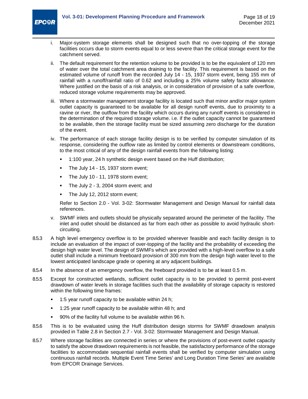

- i. Major-system storage elements shall be designed such that no over-topping of the storage facilities occurs due to storm events equal to or less severe than the critical storage event for the catchment served.
- ii. The default requirement for the retention volume to be provided is to be the equivalent of 120 mm of water over the total catchment area draining to the facility. This requirement is based on the estimated volume of runoff from the recorded July 14 - 15, 1937 storm event, being 155 mm of rainfall with a runoff/rainfall ratio of 0.62 and including a 25% volume safety factor allowance. Where justified on the basis of a risk analysis, or in consideration of provision of a safe overflow, reduced storage volume requirements may be approved.
- iii. Where a stormwater management storage facility is located such that minor and/or major system outlet capacity is guaranteed to be available for all design runoff events, due to proximity to a ravine or river, the outflow from the facility which occurs during any runoff events is considered in the determination of the required storage volume. i.e. if the outlet capacity cannot be guaranteed to be available, then the storage facility must be sized assuming zero discharge for the duration of the event.
- iv. The performance of each storage facility design is to be verified by computer simulation of its response, considering the outflow rate as limited by control elements or downstream conditions, to the most critical of any of the design rainfall events from the following listing:
	- 1:100 year, 24 h synthetic design event based on the Huff distribution;
	- The July 14 15, 1937 storm event;
	- The July 10 11, 1978 storm event;
	- The July 2 3, 2004 storm event; and
	- The July 12, 2012 storm event;

Refer to Section 2.0 - Vol. 3-02: Stormwater Management and Design Manual for rainfall data references.

- v. SWMF inlets and outlets should be physically separated around the perimeter of the facility. The inlet and outlet should be distanced as far from each other as possible to avoid hydraulic shortcircuiting.
- 8.5.3 A high level emergency overflow is to be provided wherever feasible and each facility design is to include an evaluation of the impact of over-topping of the facility and the probability of exceeding the design high water level. The design of SWMFs which are provided with a high-level overflow to a safe outlet shall include a minimum freeboard provision of 300 mm from the design high water level to the lowest anticipated landscape grade or opening at any adjacent buildings.
- 8.5.4 In the absence of an emergency overflow, the freeboard provided is to be at least 0.5 m.
- 8.5.5 Except for constructed wetlands, sufficient outlet capacity is to be provided to permit post-event drawdown of water levels in storage facilities such that the availability of storage capacity is restored within the following time frames:
	- 1:5 year runoff capacity to be available within 24 h;
	- 1:25 year runoff capacity to be available within 48 h; and
	- 90% of the facility full volume to be available within 96 h.
- 8.5.6 This is to be evaluated using the Huff distribution design storms for SWMF drawdown analysis provided in Table 2.8 in Section 2.7 - Vol. 3-02: Stormwater Management and Design Manual.
- 8.5.7 Where storage facilities are connected in series or where the provisions of post-event outlet capacity to satisfy the above drawdown requirements is not feasible, the satisfactory performance of the storage facilities to accommodate sequential rainfall events shall be verified by computer simulation using continuous rainfall records. Multiple Event Time Series' and Long Duration Time Series' are available from EPCOR Drainage Services.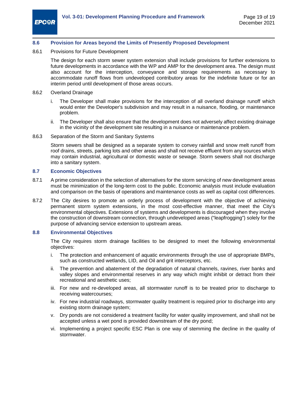#### <span id="page-25-0"></span>**8.6 Provision for Areas beyond the Limits of Presently Proposed Development**

8.6.1 Provisions for Future Development

The design for each storm sewer system extension shall include provisions for further extensions to future developments in accordance with the WP and AMP for the development area. The design must also account for the interception, conveyance and storage requirements as necessary to accommodate runoff flows from undeveloped contributory areas for the indefinite future or for an interim period until development of those areas occurs.

- 8.6.2 Overland Drainage
	- i. The Developer shall make provisions for the interception of all overland drainage runoff which would enter the Developer's subdivision and may result in a nuisance, flooding, or maintenance problem.
	- ii. The Developer shall also ensure that the development does not adversely affect existing drainage in the vicinity of the development site resulting in a nuisance or maintenance problem.

#### 8.6.3 Separation of the Storm and Sanitary Systems

Storm sewers shall be designed as a separate system to convey rainfall and snow melt runoff from roof drains, streets, parking lots and other areas and shall not receive effluent from any sources which may contain industrial, agricultural or domestic waste or sewage. Storm sewers shall not discharge into a sanitary system.

#### <span id="page-25-1"></span>**8.7 Economic Objectives**

- 8.7.1 A prime consideration in the selection of alternatives for the storm servicing of new development areas must be minimization of the long-term cost to the public. Economic analysis must include evaluation and comparison on the basis of operations and maintenance costs as well as capital cost differences.
- 8.7.2 The City desires to promote an orderly process of development with the objective of achieving permanent storm system extensions, in the most cost-effective manner, that meet the City's environmental objectives. Extensions of systems and developments is discouraged when they involve the construction of downstream connection, through undeveloped areas ("leapfrogging") solely for the purpose of advancing service extension to upstream areas.

#### <span id="page-25-2"></span>**8.8 Environmental Objectives**

The City requires storm drainage facilities to be designed to meet the following environmental objectives:

- i. The protection and enhancement of aquatic environments through the use of appropriate BMPs, such as constructed wetlands, LID, and Oil and grit interceptors, etc.
- ii. The prevention and abatement of the degradation of natural channels, ravines, river banks and valley slopes and environmental reserves in any way which might inhibit or detract from their recreational and aesthetic uses;
- iii. For new and re-developed areas, all stormwater runoff is to be treated prior to discharge to receiving watercourses;
- iv. For new industrial roadways, stormwater quality treatment is required prior to discharge into any existing storm drainage system;
- v. Dry ponds are not considered a treatment facility for water quality improvement, and shall not be accepted unless a wet pond is provided downstream of the dry pond;
- vi. Implementing a project specific ESC Plan is one way of stemming the decline in the quality of stormwater.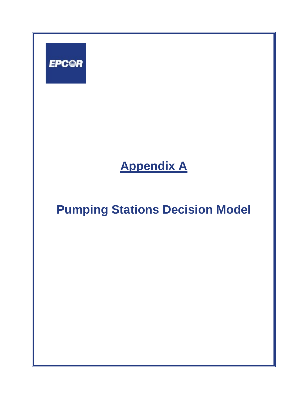<span id="page-26-0"></span>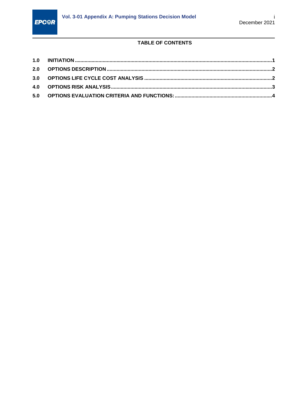

## TABLE OF CONTENTS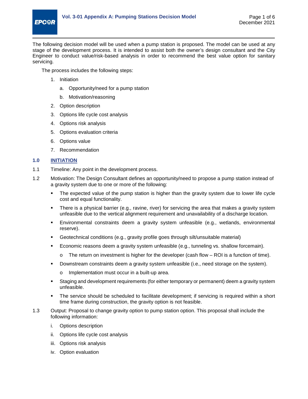

The following decision model will be used when a pump station is proposed. The model can be used at any stage of the development process. It is intended to assist both the owner's design consultant and the City Engineer to conduct value/risk-based analysis in order to recommend the best value option for sanitary servicing.

The process includes the following steps:

- 1. Initiation
	- a. Opportunity/need for a pump station
	- b. Motivation/reasoning
- 2. Option description
- 3. Options life cycle cost analysis
- 4. Options risk analysis
- 5. Options evaluation criteria
- 6. Options value
- 7. Recommendation

#### <span id="page-28-0"></span>**1.0 INITIATION**

- 1.1 Timeline: Any point in the development process.
- 1.2 Motivation: The Design Consultant defines an opportunity/need to propose a pump station instead of a gravity system due to one or more of the following:
	- **The expected value of the pump station is higher than the gravity system due to lower life cycle** cost and equal functionality.
	- There is a physical barrier (e.g., ravine, river) for servicing the area that makes a gravity system unfeasible due to the vertical alignment requirement and unavailability of a discharge location.
	- Environmental constraints deem a gravity system unfeasible (e.g., wetlands, environmental reserve).
	- Geotechnical conditions (e.g., gravity profile goes through silt/unsuitable material)
	- Economic reasons deem a gravity system unfeasible (e.g., tunneling vs. shallow forcemain).
		- $\circ$  The return on investment is higher for the developer (cash flow ROI is a function of time).
	- Downstream constraints deem a gravity system unfeasible (i.e., need storage on the system).
		- o Implementation must occur in a built-up area.
	- Staging and development requirements (for either temporary or permanent) deem a gravity system unfeasible.
	- The service should be scheduled to facilitate development; if servicing is required within a short time frame during construction, the gravity option is not feasible.
- 1.3 Output: Proposal to change gravity option to pump station option. This proposal shall include the following information:
	- i. Options description
	- ii. Options life cycle cost analysis
	- iii. Options risk analysis
	- iv. Option evaluation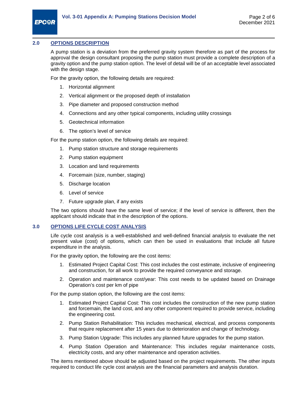#### <span id="page-29-0"></span>**2.0 OPTIONS DESCRIPTION**

A pump station is a deviation from the preferred gravity system therefore as part of the process for approval the design consultant proposing the pump station must provide a complete description of a gravity option and the pump station option. The level of detail will be of an acceptable level associated with the design stage.

For the gravity option, the following details are required:

- 1. Horizontal alignment
- 2. Vertical alignment or the proposed depth of installation
- 3. Pipe diameter and proposed construction method
- 4. Connections and any other typical components, including utility crossings
- 5. Geotechnical information
- 6. The option's level of service

For the pump station option, the following details are required:

- 1. Pump station structure and storage requirements
- 2. Pump station equipment
- 3. Location and land requirements
- 4. Forcemain (size, number, staging)
- 5. Discharge location
- 6. Level of service
- 7. Future upgrade plan, if any exists

The two options should have the same level of service; if the level of service is different, then the applicant should indicate that in the description of the options.

#### <span id="page-29-1"></span>**3.0 OPTIONS LIFE CYCLE COST ANALYSIS**

Life cycle cost analysis is a well-established and well-defined financial analysis to evaluate the net present value (cost) of options, which can then be used in evaluations that include all future expenditure in the analysis.

For the gravity option, the following are the cost items:

- 1. Estimated Project Capital Cost: This cost includes the cost estimate, inclusive of engineering and construction, for all work to provide the required conveyance and storage.
- 2. Operation and maintenance cost/year: This cost needs to be updated based on Drainage Operation's cost per km of pipe

For the pump station option, the following are the cost items:

- 1. Estimated Project Capital Cost: This cost includes the construction of the new pump station and forcemain, the land cost, and any other component required to provide service, including the engineering cost.
- 2. Pump Station Rehabilitation: This includes mechanical, electrical, and process components that require replacement after 15 years due to deterioration and change of technology.
- 3. Pump Station Upgrade: This includes any planned future upgrades for the pump station.
- 4. Pump Station Operation and Maintenance: This includes regular maintenance costs, electricity costs, and any other maintenance and operation activities.

The items mentioned above should be adjusted based on the project requirements. The other inputs required to conduct life cycle cost analysis are the financial parameters and analysis duration.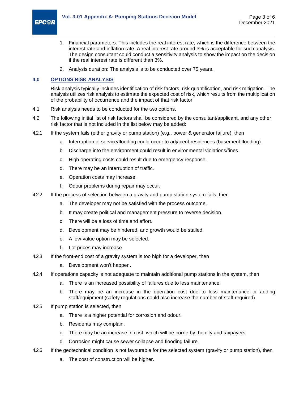

- 1. Financial parameters: This includes the real interest rate, which is the difference between the interest rate and inflation rate. A real interest rate around 3% is acceptable for such analysis. The design consultant could conduct a sensitivity analysis to show the impact on the decision if the real interest rate is different than 3%.
- 2. Analysis duration: The analysis is to be conducted over 75 years.

#### <span id="page-30-0"></span>**4.0 OPTIONS RISK ANALYSIS**

Risk analysis typically includes identification of risk factors, risk quantification, and risk mitigation. The analysis utilizes risk analysis to estimate the expected cost of risk, which results from the multiplication of the probability of occurrence and the impact of that risk factor.

- 4.1 Risk analysis needs to be conducted for the two options.
- 4.2 The following initial list of risk factors shall be considered by the consultant/applicant, and any other risk factor that is not included in the list below may be added:
- 4.2.1 If the system fails (either gravity or pump station) (e.g., power & generator failure), then
	- a. Interruption of service/flooding could occur to adjacent residences (basement flooding).
	- b. Discharge into the environment could result in environmental violations/fines.
	- c. High operating costs could result due to emergency response.
	- d. There may be an interruption of traffic.
	- e. Operation costs may increase.
	- f. Odour problems during repair may occur.
- 4.2.2 If the process of selection between a gravity and pump station system fails, then
	- a. The developer may not be satisfied with the process outcome.
	- b. It may create political and management pressure to reverse decision.
	- c. There will be a loss of time and effort.
	- d. Development may be hindered, and growth would be stalled.
	- e. A low-value option may be selected.
	- f. Lot prices may increase.
- 4.2.3 If the front-end cost of a gravity system is too high for a developer, then
	- a. Development won't happen.
- 4.2.4 If operations capacity is not adequate to maintain additional pump stations in the system, then
	- a. There is an increased possibility of failures due to less maintenance.
	- b. There may be an increase in the operation cost due to less maintenance or adding staff/equipment (safety regulations could also increase the number of staff required).
- 4.2.5 If pump station is selected, then
	- a. There is a higher potential for corrosion and odour.
	- b. Residents may complain.
	- c. There may be an increase in cost, which will be borne by the city and taxpayers.
	- d. Corrosion might cause sewer collapse and flooding failure.
- 4.2.6 If the geotechnical condition is not favourable for the selected system (gravity or pump station), then
	- a. The cost of construction will be higher.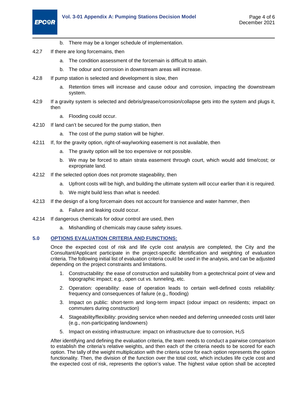

- b. There may be a longer schedule of implementation.
- 4.2.7 If there are long forcemains, then
	- a. The condition assessment of the forcemain is difficult to attain.
	- b. The odour and corrosion in downstream areas will increase.
- 4.2.8 If pump station is selected and development is slow, then
	- a. Retention times will increase and cause odour and corrosion, impacting the downstream system.
- 4.2.9 If a gravity system is selected and debris/grease/corrosion/collapse gets into the system and plugs it, then
	- a. Flooding could occur.
- 4.2.10 If land can't be secured for the pump station, then
	- a. The cost of the pump station will be higher.
- 4.2.11 If, for the gravity option, right-of-way/working easement is not available, then
	- a. The gravity option will be too expensive or not possible.
	- b. We may be forced to attain strata easement through court, which would add time/cost; or expropriate land.
- 4.2.12 If the selected option does not promote stageability, then
	- a. Upfront costs will be high, and building the ultimate system will occur earlier than it is required.
	- b. We might build less than what is needed.
- 4.2.13 If the design of a long forcemain does not account for transience and water hammer, then
	- a. Failure and leaking could occur.
- 4.2.14 If dangerous chemicals for odour control are used, then
	- a. Mishandling of chemicals may cause safety issues.

#### <span id="page-31-0"></span>**5.0 OPTIONS EVALUATION CRITERIA AND FUNCTIONS:**

Once the expected cost of risk and life cycle cost analysis are completed, the City and the Consultant/Applicant participate in the project-specific identification and weighting of evaluation criteria. The following initial list of evaluation criteria could be used in the analysis, and can be adjusted depending on the project constraints and limitations.

- 1. Constructability: the ease of construction and suitability from a geotechnical point of view and topographic impact; e.g., open cut vs. tunneling, etc.
- 2. Operation: operability: ease of operation leads to certain well-defined costs reliability: frequency and consequences of failure (e.g., flooding)
- 3. Impact on public: short-term and long-term impact (odour impact on residents; impact on commuters during construction)
- 4. Stageability/flexibility: providing service when needed and deferring unneeded costs until later (e.g., non-participating landowners)
- 5. Impact on existing infrastructure: impact on infrastructure due to corrosion, H2S

After identifying and defining the evaluation criteria, the team needs to conduct a pairwise comparison to establish the criteria's relative weights, and then each of the criteria needs to be scored for each option. The tally of the weight multiplication with the criteria score for each option represents the option functionality. Then, the division of the function over the total cost, which includes life cycle cost and the expected cost of risk, represents the option's value. The highest value option shall be accepted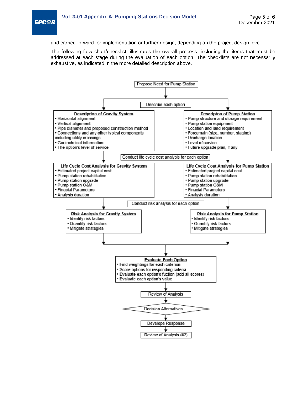

and carried forward for implementation or further design, depending on the project design level.

The following flow chart/checklist, illustrates the overall process, including the items that must be addressed at each stage during the evaluation of each option. The checklists are not necessarily exhaustive, as indicated in the more detailed description above.